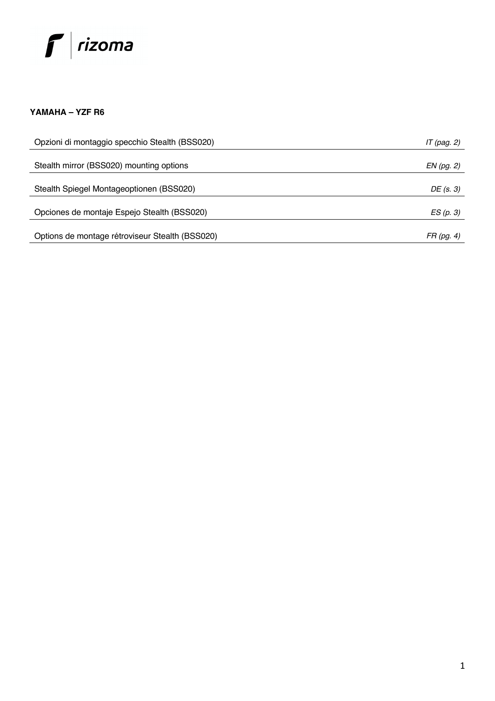# $f|$ rizoma

## **YAMAHA – YZF R6**

| Opzioni di montaggio specchio Stealth (BSS020)  | IT (pag. 2) |
|-------------------------------------------------|-------------|
|                                                 |             |
| Stealth mirror (BSS020) mounting options        | EN (pg. 2)  |
|                                                 |             |
| Stealth Spiegel Montageoptionen (BSS020)        | DE (s. 3)   |
|                                                 |             |
| Opciones de montaje Espejo Stealth (BSS020)     | ES(p. 3)    |
|                                                 |             |
| Options de montage rétroviseur Stealth (BSS020) | FR (pg. 4)  |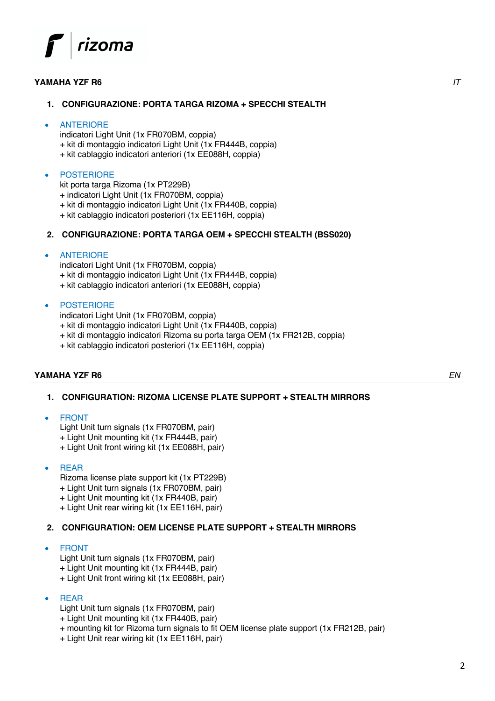## rizoma

#### **YAMAHA YZF R6** *IT*

## **1. CONFIGURAZIONE: PORTA TARGA RIZOMA + SPECCHI STEALTH**

#### **ANTERIORE**

indicatori Light Unit (1x FR070BM, coppia) + kit di montaggio indicatori Light Unit (1x FR444B, coppia) + kit cablaggio indicatori anteriori (1x EE088H, coppia)

#### **POSTERIORE**

kit porta targa Rizoma (1x PT229B)

+ indicatori Light Unit (1x FR070BM, coppia)

+ kit di montaggio indicatori Light Unit (1x FR440B, coppia)

+ kit cablaggio indicatori posteriori (1x EE116H, coppia)

#### **2. CONFIGURAZIONE: PORTA TARGA OEM + SPECCHI STEALTH (BSS020)**

#### **ANTERIORE**

indicatori Light Unit (1x FR070BM, coppia) + kit di montaggio indicatori Light Unit (1x FR444B, coppia) + kit cablaggio indicatori anteriori (1x EE088H, coppia)

#### **POSTERIORE**

indicatori Light Unit (1x FR070BM, coppia)

- + kit di montaggio indicatori Light Unit (1x FR440B, coppia)
- + kit di montaggio indicatori Rizoma su porta targa OEM (1x FR212B, coppia)
- + kit cablaggio indicatori posteriori (1x EE116H, coppia)

#### **YAMAHA YZF R6** *EN*

**1. CONFIGURATION: RIZOMA LICENSE PLATE SUPPORT + STEALTH MIRRORS**

#### **FRONT**

Light Unit turn signals (1x FR070BM, pair)

- + Light Unit mounting kit (1x FR444B, pair)
- + Light Unit front wiring kit (1x EE088H, pair)

#### • REAR

Rizoma license plate support kit (1x PT229B)

- + Light Unit turn signals (1x FR070BM, pair)
- + Light Unit mounting kit (1x FR440B, pair)
- + Light Unit rear wiring kit (1x EE116H, pair)

## **2. CONFIGURATION: OEM LICENSE PLATE SUPPORT + STEALTH MIRRORS**

#### • FRONT

Light Unit turn signals (1x FR070BM, pair)

- + Light Unit mounting kit (1x FR444B, pair)
- + Light Unit front wiring kit (1x EE088H, pair)

#### • REAR

- Light Unit turn signals (1x FR070BM, pair)
- + Light Unit mounting kit (1x FR440B, pair)
- + mounting kit for Rizoma turn signals to fit OEM license plate support (1x FR212B, pair)
- + Light Unit rear wiring kit (1x EE116H, pair)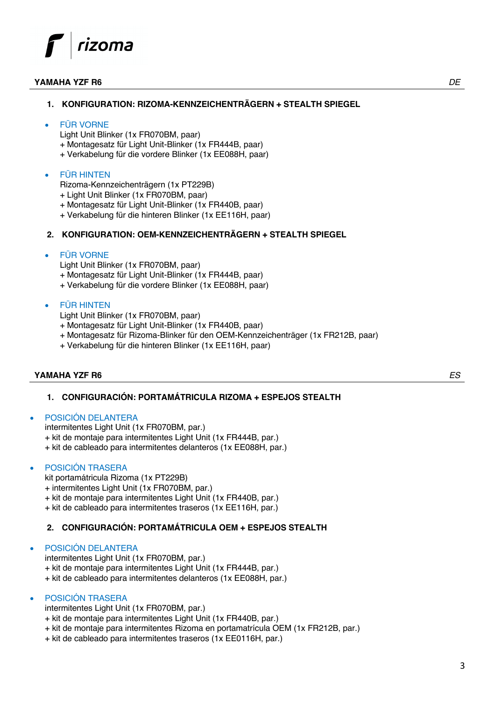## rizoma

#### **YAMAHA YZF R6** *DE*

## **1. KONFIGURATION: RIZOMA-KENNZEICHENTRÄGERN + STEALTH SPIEGEL**

#### • FÜR VORNE

Light Unit Blinker (1x FR070BM, paar)

+ Montagesatz für Light Unit-Blinker (1x FR444B, paar)

+ Verkabelung für die vordere Blinker (1x EE088H, paar)

### • FÜR HINTEN

Rizoma-Kennzeichenträgern (1x PT229B)

- + Light Unit Blinker (1x FR070BM, paar)
- + Montagesatz für Light Unit-Blinker (1x FR440B, paar)
- + Verkabelung für die hinteren Blinker (1x EE116H, paar)

## **2. KONFIGURATION: OEM-KENNZEICHENTRÄGERN + STEALTH SPIEGEL**

#### • FÜR VORNE

Light Unit Blinker (1x FR070BM, paar)

+ Montagesatz für Light Unit-Blinker (1x FR444B, paar)

+ Verkabelung für die vordere Blinker (1x EE088H, paar)

### • FÜR HINTEN

- Light Unit Blinker (1x FR070BM, paar)
- + Montagesatz für Light Unit-Blinker (1x FR440B, paar)
- + Montagesatz für Rizoma-Blinker für den OEM-Kennzeichenträger (1x FR212B, paar)
- + Verkabelung für die hinteren Blinker (1x EE116H, paar)

#### **YAMAHA YZF R6** *ES*

**1. CONFIGURACIÓN: PORTAMÁTRICULA RIZOMA + ESPEJOS STEALTH**

#### • POSICIÓN DELANTERA

intermitentes Light Unit (1x FR070BM, par.) + kit de montaje para intermitentes Light Unit (1x FR444B, par.) + kit de cableado para intermitentes delanteros (1x EE088H, par.)

#### • POSICIÓN TRASERA

kit portamátricula Rizoma (1x PT229B)

+ intermitentes Light Unit (1x FR070BM, par.)

+ kit de montaje para intermitentes Light Unit (1x FR440B, par.)

+ kit de cableado para intermitentes traseros (1x EE116H, par.)

## **2. CONFIGURACIÓN: PORTAMÁTRICULA OEM + ESPEJOS STEALTH**

#### • POSICIÓN DELANTERA

intermitentes Light Unit (1x FR070BM, par.) + kit de montaje para intermitentes Light Unit (1x FR444B, par.) + kit de cableado para intermitentes delanteros (1x EE088H, par.)

#### • POSICIÓN TRASERA

intermitentes Light Unit (1x FR070BM, par.)

- + kit de montaje para intermitentes Light Unit (1x FR440B, par.)
- + kit de montaje para intermitentes Rizoma en portamatrícula OEM (1x FR212B, par.)
- + kit de cableado para intermitentes traseros (1x EE0116H, par.)